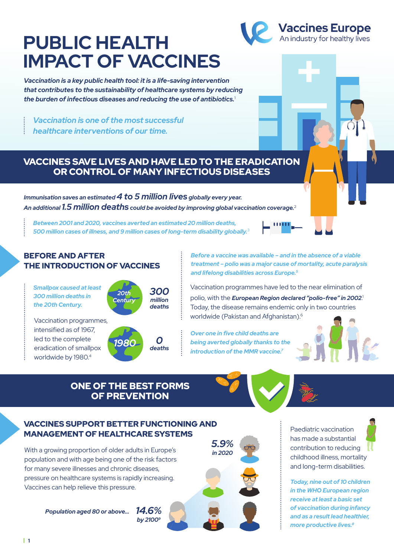# **PUBLIC HEALTH IMPACT OF VACCINES**

*Vaccination is a key public health tool: it is a life-saving intervention that contributes to the sustainability of healthcare systems by reducing the burden of infectious diseases and reducing the use of antibiotics.*<sup>1</sup>

*Vaccination is one of the most successful healthcare interventions of our time.*

BEFORE AND AFTER

*Smallpox caused at least 300 million deaths in the 20th Century.* 

Vaccination programmes, intensified as of 1967, led to the complete eradication of smallpox worldwide by 1980.<sup>4</sup>

THE INTRODUCTION OF VACCINES

### VACCINES SAVE LIVES AND HAVE LED TO THE ERADICATION OR CONTROL OF MANY INFECTIOUS DISEASES

*Immunisation saves an estimated 4 to 5 million lives globally every year. An additional 1.5 million deaths could be avoided by improving global vaccination coverage.*<sup>2</sup>

> *300 million deaths*

> *deaths*

*Between 2001 and 2020, vaccines averted an estimated 20 million deaths,* 

*500 million cases of illness, and 9 million cases of long-term disability globally.*<sup>3</sup>

*20th* **Centur**  *Before a vaccine was available – and in the absence of a viable treatment – polio was a major cause of mortality, acute paralysis and lifelong disabilities across Europe.5* 

Vaccination programmes have led to the near elimination of polio, with the *European Region declared "polio-free" in 2002*. 1 Today, the disease remains endemic only in two countries worldwide (Pakistan and Afghanistan).6

*Over one in five child deaths are being averted globally thanks to the introduction of the MMR vaccine.7*

## ONE OF THE BEST FORMS OF PREVENTION

*1980 0*

### VACCINES SUPPORT BETTER FUNCTIONING AND MANAGEMENT OF HEALTHCARE SYSTEMS

With a growing proportion of older adults in Europe's population and with age being one of the risk factors for many severe illnesses and chronic diseases, pressure on healthcare systems is rapidly increasing. Vaccines can help relieve this pressure.

> *Population aged 80 or above… 14.6% by 21009*

*5.9%*

Paediatric vaccination has made a substantial contribution to reducing childhood illness, mortality and long-term disabilities.

*Today, nine out of 10 children in the WHO European region receive at least a basic set of vaccination during infancy and as a result lead healthier, more productive lives.8*







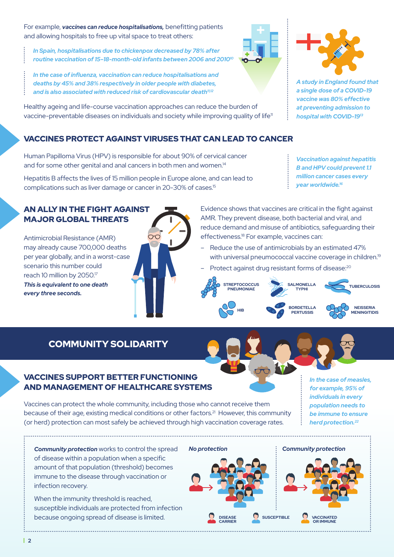For example, *vaccines can reduce hospitalisations,* benefitting patients and allowing hospitals to free up vital space to treat others:

*In Spain, hospitalisations due to chickenpox decreased by 78% after routine vaccination of 15–18-month-old infants between 2006 and 201010*

*In the case of influenza, vaccination can reduce hospitalisations and deaths by 45% and 38% respectively in older people with diabetes, and is also associated with reduced risk of cardiovascular death11,12*

Healthy ageing and life-course vaccination approaches can reduce the burden of vaccine-preventable diseases on individuals and society while improving quality of life<sup>11</sup>

## VACCINES PROTECT AGAINST VIRUSES THAT CAN LEAD TO CANCER

Human Papilloma Virus (HPV) is responsible for about 90% of cervical cancer and for some other genital and anal cancers in both men and women.<sup>14</sup>

Hepatitis B affects the lives of 15 million people in Europe alone, and can lead to complications such as liver damage or cancer in 20-30% of cases.15

## AN ALLY IN THE FIGHT AGAINST MAJOR GLOBAL THREATS

Antimicrobial Resistance (AMR) may already cause 700,000 deaths per year globally, and in a worst-case scenario this number could reach 10 million by 2050.17 *This is equivalent to one death every three seconds.*





*A study in England found that a single dose of a COVID-19 vaccine was 80% effective at preventing admission to hospital with COVID-1913*

*Vaccination against hepatitis B and HPV could prevent 1.1 million cancer cases every year worldwide.16*

Evidence shows that vaccines are critical in the fight against AMR. They prevent disease, both bacterial and viral, and reduce demand and misuse of antibiotics, safeguarding their effectiveness.<sup>18</sup> For example, vaccines can:

- Reduce the use of antimicrobials by an estimated 47% with universal pneumococcal vaccine coverage in children.<sup>19</sup>
- Protect against drug resistant forms of disease:<sup>20</sup>



## COMMUNITY SOLIDARITY

#### VACCINES SUPPORT BETTER FUNCTIONING AND MANAGEMENT OF HEALTHCARE SYSTEMS

Vaccines can protect the whole community, including those who cannot receive them because of their age, existing medical conditions or other factors.<sup>21</sup> However, this community (or herd) protection can most safely be achieved through high vaccination coverage rates.

*In the case of measles, for example, 95% of individuals in every population needs to be immune to ensure herd protection.22* 

*Community protection* works to control the spread of disease within a population when a specific amount of that population (threshold) becomes immune to the disease through vaccination or infection recovery.

When the immunity threshold is reached, susceptible individuals are protected from infection because ongoing spread of disease is limited.



**DISEASE CARRIER**

*Community protection*



**VACCINATED**<br>OR IMMUNE

**| 2**